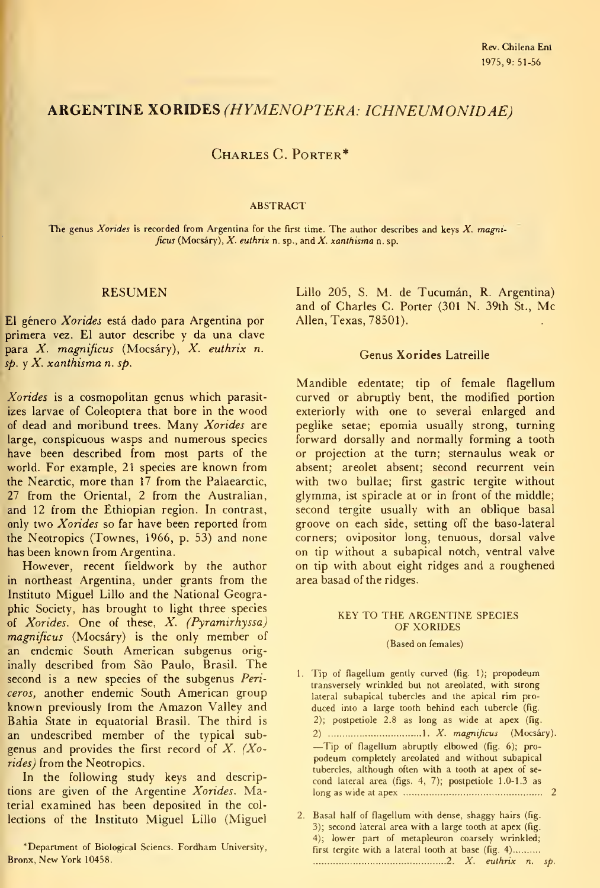# ARGENTINE XORIDES (HYMENOPTERA: ICHNEUMONIDAE)

# CHARLES C. PORTER\*

#### ABSTRACT

The genus Xorides is recorded from Argentina for the first time. The author describes and keys  $X$ . magnificus (Mocsáry), X. euthrix n. sp., and X. xanthisma n. sp.

### RESUMEN

El género Xorides está dado para Argentina por primera vez. El autor describe y da una clave para X. magnificus (Mocsáry), X. euthrix n.  $s_p$ . y  $X$ . xanthisma n. sp.

Xorides is a cosmopolitan genus which parasitizes larvae of Coleóptera that bore in the wood of dead and moribund trees. Many Xorides are large, conspicuous wasps and numerous species have been described from most parts of the world. For example, 21 species are known from the Nearctic, more than 17 from the Palaearctic, 27 from the Oriental, 2 from the Australian, and 12 from the Ethiopian region. In contrast, only two Xorides so far have been reported from the Neotropics (Townes,  $1966$ , p. 53) and none has been known from Argentina.

However, recent fieldwork by the author in northeast Argentina, under grants from the Instituto Miguel Lillo and the National Geographic Society, has brought to light three species of Xorides. One of these, X. (Pyramirhyssa) magnificus (Mocsáry) is the only member of an endemic South American subgenus originally described from Sao Paulo, Brasil. The second is a new species of the subgenus Periceros, another endemic South American group known previously from the Amazon Valley and Bahia State in equatorial Brasil. The third is an undescribed member of the typical sub genus and provides the first record of  $X$ . (Xorides) from the Neotropics.

In the following study keys and descriptions are given of the Argentine Xorides. Material examined has been deposited in the col lections of the Instituto Miguel Lillo (Miguel Lillo 205, S. M. de Tucumán, R. Argentina) and of Charles C. Porter (301 N. 39th St., Me Alien, Texas, 78501).

### Genus Xorides Latreille

Mandible edentate; tip of female flagellum curved or abruptly bent, the modified portion exteriorly with one to several enlarged and peglike setae; epomia usually strong, turning forward dorsally and normally forming a tooth or projection at the turn; sternaulus weak or absent; areolet absent; sécond recurrent vein with two bullae; first gastric tergite without glymma, ist spiracle at or in front of the middle; second tergite usually with an oblique basal groove on each side, setting off the baso-lateral corners; ovipositor long, tenuous, dorsal valve on tip without a subapical notch, ventral valve on tip with about eight ridges and a roughened area basad of the ridges.

### KEY TO THE ARGENTINE SPECIES OF XORIDES

### (Based on females)

1. Tip of flagellum gently curved (fig. 1); propodeum transversely wrinkled but not areolated, with strong lateral subapical tubercles and the apical rim pro duced into a large tooth behind each tubercle (fig. 2); postpetiole 2.8 as long as wide at apex (fig. 2)  $\ldots$  1. X. magnificus (Mocsáry). —Tip of flagellum abruptly elbowed (fig. 6); propodeum completely areolated and without subapical tubercles, although often with a tooth at apex of se cond lateral área (figs. 4, 7); postpetiole 1.0-1.3 as long as wide at apex 2

<sup>&#</sup>x27;Department of Biological Sciencs. Fordham University, Bronx, New York 10458.

<sup>2.</sup> Basal half of flagellum with dense, shaggy hairs (fig. 3); second lateral area with a large tooth at apex (fig. 4); lower part of metapleuron coarsely wrinkled; first tergite with a lateral tooth at base (fig. 4) 2. X. euthrix n. sp.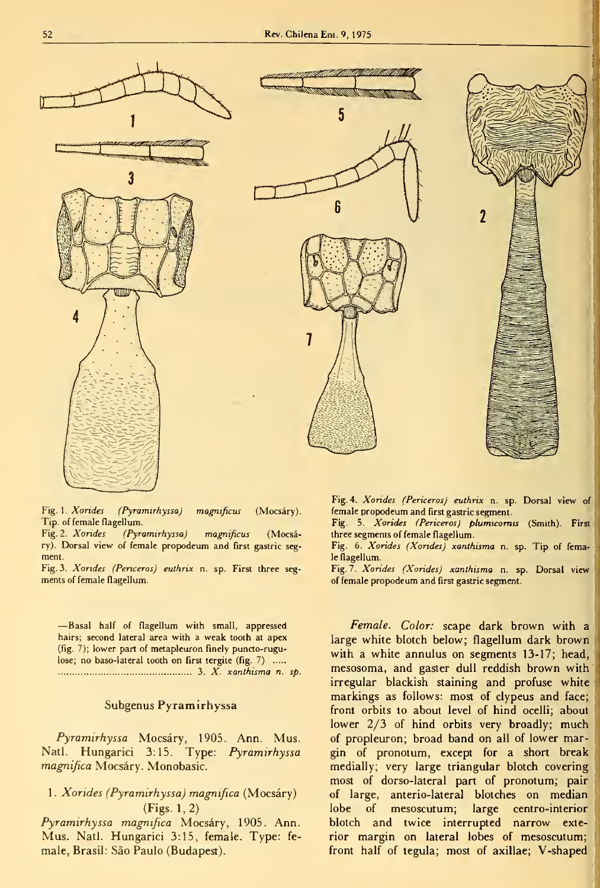

Fig. 1. Xorides (Pyramirhyssa) magnificus (Mocsáry). Tip. of female flagellum.

Fig. 2. Xorides (Pyramirhyssa) magnificus (Mocsáry). Dorsal view of female propodeum and first gastric seg ment.

Fig. 3. Xondes (Penceros) euthrix n. sp. First three seg ments of female flagellum.

—Basal half of flagellum with small, appressed hairs; second lateral area with a weak tooth at apex (fig. 7); lower part of metapleuron finely puntto-rugulose; no baso-lateral tooth on first tergite (fig. 7) ..... 3. X. xanthisma n. sp.

### Subgenus Pyramirhyssa

Pyramirhyssa Mocsáry, 1905. Ann. Mus. Nati. Hungarici 3:15. Type: Pyramirhyssa magnifica Mocsáry. Monobasic.

## <sup>1</sup> . Xorides (Pyramirhyssa) magnifica (Mocsáry) (Figs. 1,2)

Pyramirhyssa magnifica Mocsáry, 1905. Ann. Mus. Nati. Hungarici 3:15, female. Type: fe male, Brasil: Sao Paulo (Budapest).

2

Fig. 4. Xorides (Periceros) euthrix n. sp. Dorsal view of female propodeum and first gastric segment.

Fig. 5. Xorides (Periceros) plumicornis (Smith). First three segments of female flagellum.

Fig. 6. Xorides (Xorides) xanthisma n. sp. Tip of female fiagellum.

Fig. 7. Xondes (Xondes) xanthisma n. sp. Dorsal view of female propodeum and first gastric segment.

Female. Color: scape dark brown with a large white blotch below; flagellum dark brown with a white annulus on segments 13-17; head, mesosoma, and gaster dull reddish brown with irregular blackish staining and profuse white markings as follows: most of clypeus and face; front orbits to about level of hind ocelli; about lower 2/3 of hind orbits very broadly; much of propleuron; broad band on all of lower margin of pronotum, except for a short break medially; very large triangular blotch coveringj most of dorso-lateral part of pronotum; pair of large, anterio-lateral blotches on median lobe of mesoscutum; large centro-interior blotch and twice interrupted narrow exterior margin on lateral lobes of mesoscutum; front half of tegula; most of axillae; V-shaped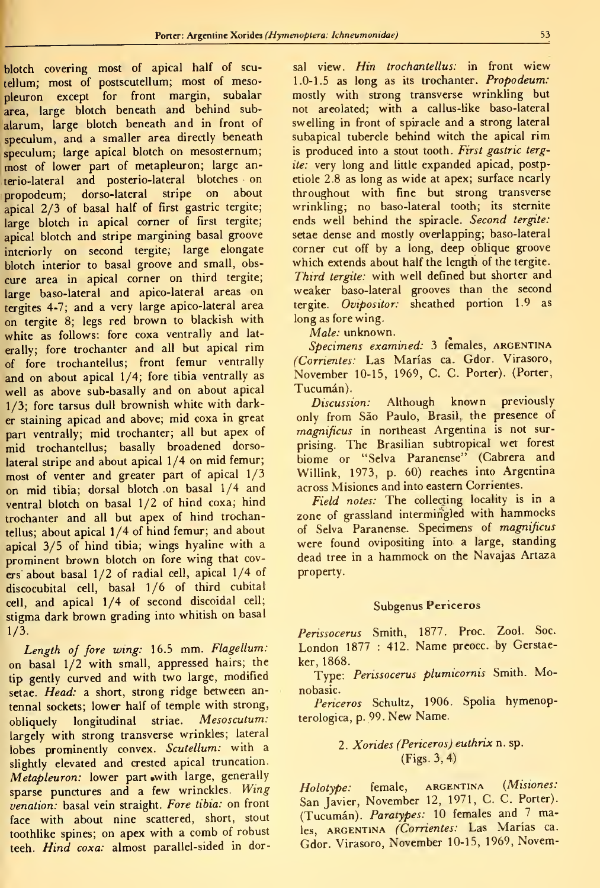'blotch covering most of apical half of scutellum; most of postscutellum; most of mesopleuron except for front margin, subalar area, large blotch beneath and behind subalarum, large blotch beneath and in front of speculum, and a smaller area directly beneath speculum; large apical blotch on mesosternum; most of lower part of metapleuron; large anterio-lateral and posterio-lateral blotches on propodeum; dorso-lateral stripe on about apical 2/3 of basal half of first gastric tergite; large blotch in apical corner of first tergite; apical blotch and stripe margining basal groove interiorly on second tergite; large elongate blotch interior to basal groove and small, obscure area in apical corner on third tergite; large baso-lateral and apico-lateral areas on tergites 4-7; and a very large apico-lateral area on tergite 8; legs red brown to blackish with white as follows: fore coxa ventrally and laterally; fore trochanter and all but apical rim of fore trochantellus; front fémur ventrally and on about apical 1/4; fore tibia ventrally as well as above sub-basally and on about apical 1/3; fore tarsus dull brownish white with darker staining apicad and above; mid coxa in great part ventrally; mid trochanter; all but apex of mid trochantellus; basally broadened dorsolateral stripe and about apical 1/4 on mid femur; most of venter and greater part of apical 1/3 on mid tibia; dorsal blotch on basal 1/4 and ventral blotch on basal 1/2 of hind coxa; hind trochanter and all but apex of hind trochantellus; about apical 1/4 of hind fémur; and about apical 3/5 of hind tibia; wings hyaline with a prominent brown blotch on fore wing that covers about basal 1/2 of radial cell, apical 1/4 of discocubital cell, basal 1/6 of third cubital cell, and apical 1/4 of second discoidal cell; stigma dark brown grading into whitish on basal 1/3.

Length of fore wing: 16.5 mm. Flagellum: on basal 1/2 with small, appressed hairs; the tip gently curved and with two large, modified setae. Head: a short, strong ridge between antennal sockets; lower half of temple with strong, obliquely longitudinal striae. Mesoscutum: largely with strong transverse wrinkles; lateral lobes prominently convex. Scutellum: with a slightly elevated and crested apical truncation. Metapleuron: lower part with large, generally sparse punctures and a few wrinckles. Wing venation: basal vein straight. Fore tibia: on front face with about nine scattered, short, stout toothlike spines; on apex with a comb of robust teeh. Hind coxa: almost parallel-sided in dorsal view. Hin trochantellus: in front wiew 1.0-1.5 as long as its trochanter. Propodeum: mostly with strong transverse wrinkling but not areolated; with a callus-like baso-lateral swelling in front of spiracle and a strong lateral subapical tubercle behind witch the apical rim is produced into a stout tooth. First gastric tergite: very long and little expanded apicad, postpetiole 2.8 as long as wide at apex; surface nearly throughout with fine but strong transverse wrinkling; no baso-lateral tooth; its sternite ends well behind the spiracle. Second tergite: setae dense and mostly overlapping; baso-lateral corner cut off by a long, deep oblique groove which extends about half the length of the tergite. Third tergite: with well defined but shorter and weaker baso-lateral grooves than the second tergite. Ovipositor: sheathed portion 1.9 as long as fore wing.

Male: unknown.

Specimens examined: 3 females, ARGENTINA (Corrientes: Las Marías ca. Gdor. Virasoro, November 10-15, 1969, C. C. Porter). (Porter, Tucumán).

Discussion: Although known previously only from Sao Paulo, Brasil, the presence of magnificus in northeast Argentina is not surprising. The Brasilian subtropical wet forest biome or "Selva Paranense" (Cabrera and Willink, 1973, p. 60) reaches into Argentina across Misiones and into eastern Corrientes.

Field notes: The collecting locality is in a zone of grassland intermingled with hammocks of Selva Paranense. Specimens of magnificus were found ovipositing into a large, standing dead tree in <sup>a</sup> hammock on the Navajas Artaza property.

### Subgenus Periceros

Perissocerus Smith, 1877. Proc. Zool. Soc. London 1877 : 412. Name preocc. by Gerstaeker, 1868.

Type: Perissocerus plumicornis Smith. Monobasic.

Periceros Schultz, 1906. Spolia hymenopterologica, p. 99. New Ñame.

# 2. Xorides (Periceros) euthrix n. sp. (Figs. 3, 4)

Holotype: female, ARGENTINA (Misiones: San Javier, November 12, 1971, C. C. Porter). (Tucumán). Paratypes: <sup>10</sup> females and <sup>7</sup> males, ARGENTINA (Corrientes: Las Marías ca. Gdor. Virasoro, November 10-15, 1969, Novem-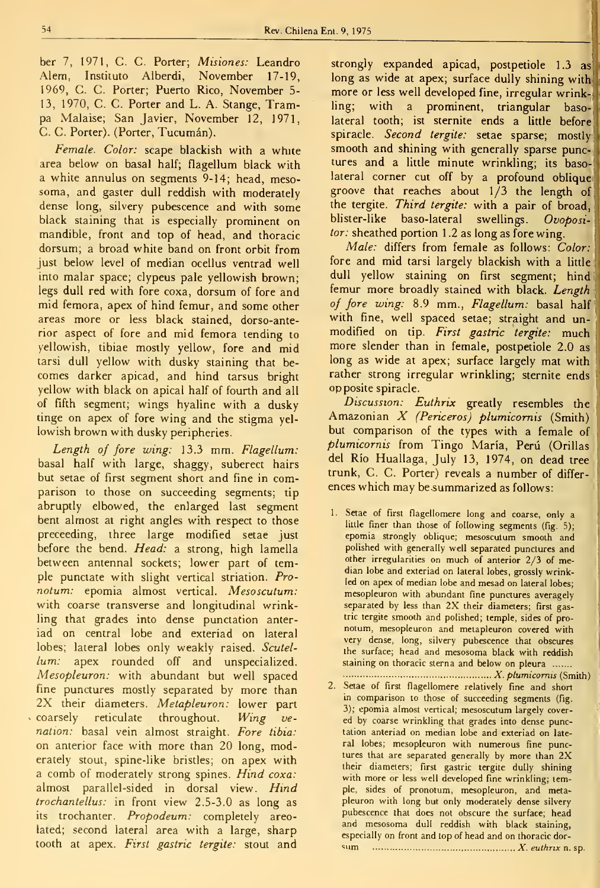ber 7, 1971, C. C. Porter; *Misiones:* Leandro Alem, Instituto Alberdi, November 17-19, 1969, C. C. Porter; Puerto Rico, November 5- 13, 1970, C. C. Porter and L. A. Stange, Trampa Malaise; San Javier, November 12, 1971, C. C. Porter). (Porter, Tucumán).

Female. Color: scape blackish with a white area below on basal half; flagellum black with a white annulus on segments 9-14; head, mesosoma, and gaster dull reddish with moderately dense long, silvery pubescence and with some black staining that is especially prominent on mandible, front and top of head, and thoracic dorsum; a broad white band on front orbit from just below level of median ocellus ventrad well into malar space; clypeus palé yellowish brown; legs dull red with fore coxa, dorsum of fore and mid femora, apex of hind fémur, and some other areas more or less black stained, dorso-anterior aspect of fore and mid femora tending to yellowish, tibiae mostly yellow, fore and mid tarsi dull yellow with dusky staining that be comes darker apicad, and hind tarsus bright yellow with black on apical half of fourth and all of fifth segment; wings hyaline with a dusky tinge on apex of fore wing and the stigma yellowish brown with dusky peripheries.

Length of fore wing: 13.3 mm. Flagellum: basal half with large, shaggy, suberect hairs but setae of first segment short and fine in comparison to those on succeeding segments; tip abruptly elbowed, the enlarged last segment bent almost at right angles with respect to those preceeding, three large modified setae just before the bend. Head: a strong, high lamella between antennal sockets; lower part of temple punctate with slight vertical striation. Pro notum: epomia almost vertical. Mesoscutum: with coarse transverse and longitudinal wrinkling that grades into dense punctation anteriad on central lobe and exteriad on lateral lobes; lateral lobes only weakly raised. Scutellum: apex rounded off and unspecialized. Mesopleuron: with abundant but well spaced fine punctures mostly separated by more than 2X their diameters. Metapleuron: lower part coarsely reticulate throughout. Wing venation: basal vein almost straight. Fore tibia: on anterior face with more than 20 long, moderately stout, spine-like bristles; on apex with a comb of moderately strong spines. Hind coxa: almost parallel-sided in dorsal view. Hind trochantellus: in front view 2.5-3.0 as long as its trochanter. Propodeum: completely areolated; second lateral area with a large, sharp tooth at apex. First gastric tergite: stout and

strongly expanded apicad, postpetiole 1.3 as long as wide at apex; surface dully shining with more or less well developed fine, irregular wrinkling; with a prominent, triangular basolateral tooth; ist sternite ends a little before spiracle. Second tergite: setae sparse; mostly smooth and shining with generally sparse punctures and a little minute wrinkling; its basolateral corner cut off by a profound oblique groove that reaches about 1/3 the length of the tergite. Third tergite: with a pair of broad, blister-like baso-lateral swellings. Ovopositor: sheathed portion 1.2 as long as fore wing.

Male: differs from female as follows: Color: fore and mid tarsi largely blackish with a little; dull yellow staining on first segment; hind femur more broadly stained with black. Length of fore wing: 8.9 mm., Flagellum: basal half with fine, well spaced setae; straight and unmodified on tip. First gastric tergite: much more slender than in female, postpetiole 2.0 as long as wide at apex; surface largely mat with rather strong irregular wrinkling; sternite ends opposite spiracle.

Discussion: Euthrix greatly resembles the Amazonian X (Periceros) plumicomis (Smith) but comparison of the types with a female of plumicomis from Tingo María, Perú (Orillas del Río Huallaga, July 13, 1974, on dead tree trunk, C. C. Porter) reveals a number of differences which may be summarized as follows:

1. Setae of first flagellomere long and coarse, only a little finer than those of following segments (fig. 5); epomia strongly oblique; mesoscutum smooth and polished with generally well separated punctures and other irregularities on much of anterior 2/3 of median lobe and exteriad on lateral lobes, grossly wrinkled on apex of median lobe and mesad on lateral lobes; mesopleuron with abundant fine punctures averagely separated by less than 2X their diameters; first gastric tergite smooth and polished; temple, sides of pro notum, mesopleuron and metapleuron covered with very dense, long, silvery pubescence that obscures the surface; head and mesosoma black with reddish staining on thoracic sterna and below on pleura .......

X. plumicomis (Smith) 2. Setae of first flagellomere relatively fine and short in comparison to those of succeeding segments (fig. 3); epomia almost vertical; mesoscutum largely cover ed by coarse wrinkling that grades into dense punctation anteriad on median lobe and exteriad on late ral lobes; mesopleuron with numerous fine punctures that are separated generally by more than 2X their diameters; first gastric tergite dully shining with more or less well developed fine wrinkling; temple, sides of pronotum, mesopleuron, and metapleuron with long but only moderately dense silvery pubescence that does not obscure the surface; head and mesosoma dull reddish with black staining, especially on front and top of head and on thoracic dor-  $\sum_{n=1}^{\infty}$   $\ldots$   $\ldots$   $\ldots$   $\ldots$   $\ldots$   $\ldots$   $\ldots$   $X$ . euthrix n. sp.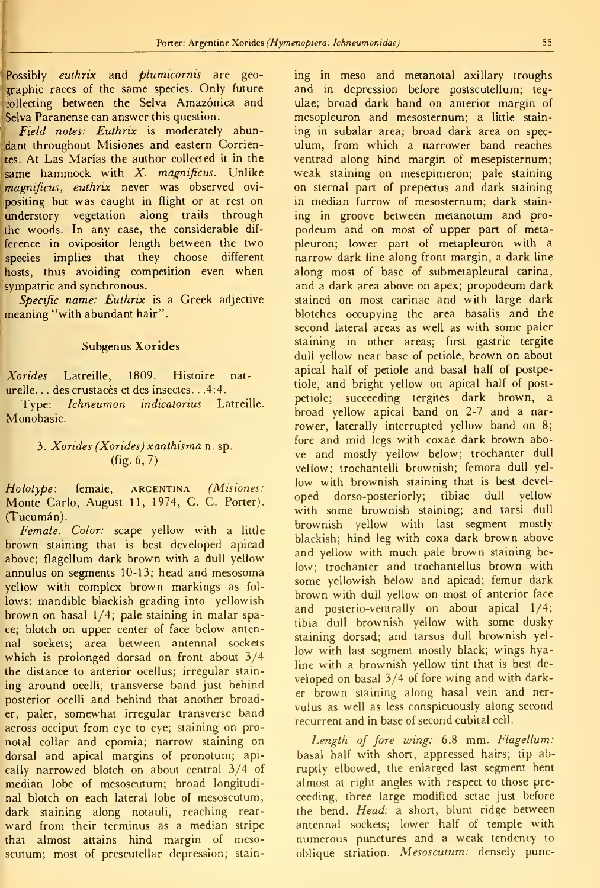Possibly euthrix and plumicornis are geographic races of the same species. Only future :ollecting between the Selva Amazónica and Selva Paranense can answer this question.

Field notes: Euthrix is moderately abundant throughout Misiones and eastern Corrientes. At Las Marías the author collected it in the same hammock with  $X$ . magnificus. Unlike magnificus, euthrix never was observed ovi positing but was caught in flight or at rest on understory vegetation along trails through the woods. In any case, the considerable dif ference in ovipositor length between the two species implies that they choose different hosts, thus avoiding competition even when sympatric and synchronous.

Specific name: Euthrix is a Greek adjective meaning "with abundant hair".

#### Subgenus Xorides

Xorides Latreille, 1809. Histoire naturelle. . . des crustacés et des insectes. . .4:4.

Type: Ichneumon indicatorius Latreille. Monobasic.

## 3. Xorides (Xorides) xanthisma n. sp. (fig. 6, 7)

Holotype: female, ARGENTINA (Misiones: Monte Cario, August 11, 1974, C. C. Porter). (Tucumán).

Female. Color: scape yellow with a little brown staining that is best developed apicad above; flagellum dark brown with a dull yellow annulus on segments 10-13; head and mesosoma yellow with complex brown markings as fol lows: mandible blackish grading into yellowish brown on basal 1/4; palé staining in malar space; blotch on upper center of face below antennal sockets; area between antennal sockets which is prolonged dorsad on front about 3/4 the distance to anterior ocellus; irregular stain ing around ocelli; transverse band just behind posterior ocelli and behind that another broader, paler, somewhat irregular transverse band across occiput from eye to eye; staining on pronotal collar and epomia; narrow staining on dorsal and apical margins of pronotum; apically narrowed blotch on about central 3/4 of median lobe of mesoscutum; broad longitudi nal blotch on each lateral lobe of mesoscutum; dark staining along notauli, reaching rear ward from their terminus as a median stripe that almost attains hind margin of mesoscutum; most of prescutellar depression; staining in meso and metanotal axillary troughs and in depression before postscutellum; teg ulae; broad dark band on anterior margin of mesopleuron and mesosternum; a little stain ing in subalar area; broad dark area on speculum, from which a narrower band reaches ventrad along hind margin of mesepisternum; weak staining on mesepimeron; palé staining on sternal part of prepectus and dark staining in median furrow of mesosternum; dark stain ing in groove between metanotum and pro podeum and on most of upper part of metapleuron; lower part of metapleuron with a narrow dark line along front margin, a dark line along most of base of submetapleural carina, and a dark area above on apex; propodeum dark stained on most carinae and with large dark blotches occupying the area basalis and the second lateral areas as well as with some paler staining in other areas; first gastric tergite dull yellow near base of petiole, brown on about apical half of petiole and basal half of postpetiole, and bright yellow on apical half of postpetiole; succeeding tergites dark brown, a broad yellow apical band on 2-7 and a nar rower, laterally interrupted yellow band on 8; fore and mid legs with coxae dark brown above and mostly yellow below; trochanter dull vellow; trochantelli brownish; femora dull yellow with brownish staining that is best devel oped dorso-posteriorly; tibiae dull yellow with some brownish staining; and tarsi dull brownish yellow with last segment mostly blackish; hind leg with coxa dark brown above and yellow with much palé brown staining be low; trochanter and trochantellus brown with some yellowish below and apicad; fémur dark brown with dull yellow on most of anterior face and posterio-ventrally on about apical 1/4; tibia dull brownish yellow with some dusky staining dorsad; and tarsus dull brownish yellow with last segment mostly black; wings hyaline with a brownish yellow tint that is best de veloped on basal 3/4 of fore wing and with darker brown staining along basal vein and ner vulus as well as less conspicuously along second recurrent and in base of second cubital cell.

Length of fore wing: 6.8 mm. Flagellum: basal half with short, appressed hairs; tip abruptly elbowed, the enlarged last segment bent almost at right angles with respect to those preceeding, three large modified setae just before the bend. Head: a short, blunt ridge between antennal sockets; lower half of temple with numerous punctures and a weak tendency to oblique striation. Mesoscutum: densely punc-